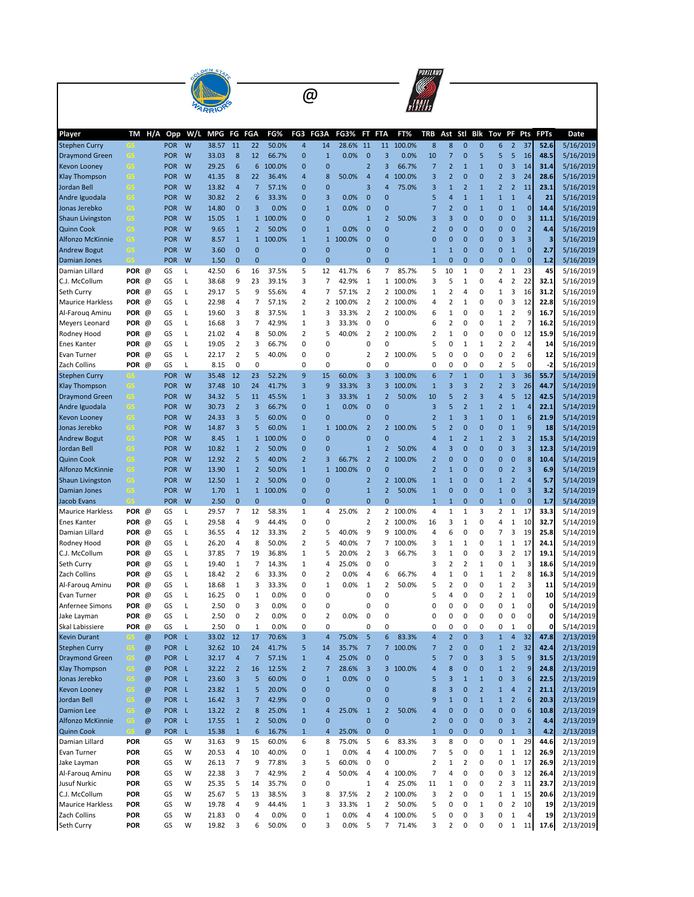|                                               |                          |                |                          |        | OLDEN ST       |                                        |                                |                 |                              |                              |                |                                  |                              |                 | PORTLAND                |                   |                              |                                         |                                        |                                           |                         |              |                        |
|-----------------------------------------------|--------------------------|----------------|--------------------------|--------|----------------|----------------------------------------|--------------------------------|-----------------|------------------------------|------------------------------|----------------|----------------------------------|------------------------------|-----------------|-------------------------|-------------------|------------------------------|-----------------------------------------|----------------------------------------|-------------------------------------------|-------------------------|--------------|------------------------|
|                                               |                          |                |                          |        |                |                                        | @                              |                 |                              |                              |                |                                  |                              |                 |                         |                   |                              |                                         |                                        |                                           |                         |              |                        |
|                                               |                          |                |                          |        |                |                                        |                                |                 |                              |                              |                |                                  |                              |                 |                         |                   |                              |                                         |                                        |                                           |                         |              |                        |
| Player                                        | TM                       | H/A            | Opp                      | W/L    | MPG            | FG                                     | <b>FGA</b>                     | FG%             | FG3                          | FG3A                         | <b>FG3%</b>    | FT                               | <b>FTA</b>                   | FT%             | TRB                     | Ast               | Stl                          | Blk                                     | Tov                                    | PF                                        | Pts                     | <b>FPTs</b>  | Date                   |
| <b>Stephen Curry</b><br><b>Draymond Green</b> | GS                       |                | <b>POR</b><br><b>POR</b> | W<br>W | 38.57<br>33.03 | 11<br>8                                | 22<br>12                       | 50.0%<br>66.7%  | $\overline{\mathbf{4}}$<br>0 | 14<br>$\mathbf{1}$           | 28.6%<br>0.0%  | 11<br>$\mathbf{0}$               | 11<br>3                      | 100.0%<br>0.0%  | 8<br>10                 | 8<br>7            | $\Omega$<br>$\mathbf 0$      | $\overline{0}$<br>5                     | 6<br>5                                 | $\overline{2}$<br>5                       | 37<br>16                | 52.6<br>48.5 | 5/16/2019<br>5/16/2019 |
| <b>Kevon Looney</b>                           | GS                       |                | <b>POR</b>               | W      | 29.25          | 6                                      | 6                              | 100.0%          | 0                            | $\mathbf 0$                  |                | $\overline{2}$                   | 3                            | 66.7%           | 7                       | $\overline{2}$    | $\mathbf{1}$                 | $\overline{1}$                          | 0                                      | 3                                         | 14                      | 31.4         | 5/16/2019              |
| <b>Klay Thompson</b>                          | -GS                      |                | <b>POR</b>               | W      | 41.35          | 8                                      | 22                             | 36.4%           | 4                            | 8                            | 50.0%          | 4                                | 4                            | 100.0%          | 3                       | $\overline{2}$    | $\mathbf 0$                  | $\overline{0}$                          | $\overline{2}$                         | 3                                         | 24                      | 28.6         | 5/16/2019              |
| Jordan Bell                                   | GS                       |                | <b>POR</b>               | W      | 13.82          | $\overline{4}$                         | $\overline{7}$                 | 57.1%           | 0                            | $\mathbf 0$                  |                | 3                                | 4                            | 75.0%           | 3                       | $\mathbf{1}$      | $\overline{2}$               | $\overline{1}$                          | $\overline{2}$                         | $\overline{2}$                            | 11                      | 23.1         | 5/16/2019              |
| Andre Iguodala                                | GS                       |                | <b>POR</b>               | W      | 30.82          | $\overline{2}$                         | $6\phantom{1}6$                | 33.3%           | 0                            | 3                            | 0.0%           | 0                                | $\mathbf{0}$                 |                 | 5                       | 4                 | $\mathbf{1}$                 | $\overline{1}$                          | $\mathbf{1}$                           | $\mathbf{1}$                              | 4                       | 21           | 5/16/2019              |
| Jonas Jerebko                                 | GS                       |                | <b>POR</b>               | W      | 14.80          | $\bf{0}$                               | 3                              | 0.0%            | 0                            | $\mathbf{1}$                 | $0.0\%$        | $\mathbf 0$                      | 0                            |                 | 7                       | $\overline{2}$    | $\mathbf 0$                  | $\overline{1}$                          | $\bf{0}$                               | $\mathbf{1}$                              | $\mathbf{0}$            | 14.4         | 5/16/2019              |
| <b>Shaun Livingston</b>                       | GS                       |                | <b>POR</b>               | W      | 15.05          | $\mathbf 1$                            |                                | 1 100.0%        | 0                            | $\mathbf{0}$                 |                | $\mathbf{1}$                     | $\overline{2}$               | 50.0%           | 3                       | 3                 | $\mathbf 0$                  | 0                                       | 0                                      | $\mathbf{0}$                              | 3                       | 11.1         | 5/16/2019              |
| <b>Quinn Cook</b><br><b>Alfonzo McKinnie</b>  | GS<br>GS                 |                | <b>POR</b><br><b>POR</b> | W<br>W | 9.65<br>8.57   | $\mathbf 1$<br>$\mathbf 1$             | $\overline{2}$<br>$\mathbf{1}$ | 50.0%<br>100.0% | $\mathbf 0$<br>$\mathbf 1$   | $\mathbf{1}$<br>$\mathbf{1}$ | 0.0%<br>100.0% | $\mathbf 0$<br>$\mathbf 0$       | $\mathbf{0}$<br>$\mathbf{0}$ |                 | $\overline{2}$<br>0     | 0<br>$\mathbf{0}$ | $\mathbf 0$<br>$\mathbf 0$   | 0<br>$\mathbf{0}$                       | $\mathbf 0$<br>$\pmb{0}$               | $\mathbf{0}$<br>3                         | $\overline{2}$<br>3     | 4.4<br>з     | 5/16/2019<br>5/16/2019 |
| <b>Andrew Bogut</b>                           | GS                       |                | <b>POR</b>               | W      | 3.60           | $\mathbf{0}$                           | $\mathbf 0$                    |                 | $\mathbf 0$                  | $\mathbf 0$                  |                | 0                                | $\mathbf{0}$                 |                 | 1                       | $\mathbf{1}$      | 0                            | 0                                       | $\mathbf 0$                            | $\mathbf{1}$                              | $\mathbf{0}$            | 2.7          | 5/16/2019              |
| Damian Jones                                  | es                       |                | <b>POR</b>               | W      | 1.50           | $\mathbf{0}$                           | $\overline{0}$                 |                 | 0                            | $\overline{0}$               |                | $\mathbf 0$                      | Ō                            |                 | $\mathbf{1}$            | $\mathbf{0}$      | $\mathbf 0$                  | $\mathbf{0}$                            | $\mathbf 0$                            | $\mathbf{0}$                              | $\mathbf 0$             | 1.2          | 5/16/2019              |
| Damian Lillard                                | POR $@$                  |                | GS                       | Г      | 42.50          | 6                                      | 16                             | 37.5%           | 5                            | 12                           | 41.7%          | 6                                | 7                            | 85.7%           | 5                       | 10                | 1                            | 0                                       | $\overline{2}$                         | $\mathbf 1$                               | 23                      | 45           | 5/16/2019              |
| C.J. McCollum                                 | POR $@$                  |                | GS                       | L      | 38.68          | 9                                      | 23                             | 39.1%           | 3                            | $\overline{7}$               | 42.9%          | $\mathbf{1}$                     | 1                            | 100.0%          | 3                       | 5                 | 1                            | 0                                       | 4                                      | $\overline{2}$                            | 22                      | 32.1         | 5/16/2019              |
| Seth Curry                                    | POR $@$                  |                | GS                       | L      | 29.17          | 5                                      | 9                              | 55.6%           | 4                            | 7                            | 57.1%          | $\overline{2}$                   |                              | 2 100.0%        | 1                       | 2                 | 4                            | 0                                       | $\mathbf 1$                            | 3                                         | 16                      | 31.2         | 5/16/2019              |
| <b>Maurice Harkless</b>                       | POR $\varnothing$        |                | GS                       | Г      | 22.98          | 4                                      | 7                              | 57.1%           | $\overline{2}$               | 2                            | 100.0%         | $\overline{2}$                   | 2                            | 100.0%          | 4                       | 2                 | 1                            | 0                                       | 0                                      | 3                                         | 12                      | 22.8         | 5/16/2019              |
| Al-Faroug Aminu<br>Meyers Leonard             | POR @<br>POR $@$         |                | GS<br>GS                 | L<br>Г | 19.60<br>16.68 | 3<br>3                                 | 8<br>7                         | 37.5%<br>42.9%  | 1<br>1                       | 3<br>3                       | 33.3%<br>33.3% | $\overline{2}$<br>0              | $\overline{2}$<br>0          | 100.0%          | 6<br>6                  | 1<br>2            | 0<br>0                       | 0<br>0                                  | 1<br>$\mathbf 1$                       | $\overline{2}$<br>$\overline{2}$          | 9<br>7                  | 16.7<br>16.2 | 5/16/2019<br>5/16/2019 |
| Rodney Hood                                   | POR $@$                  |                | GS                       | L      | 21.02          | 4                                      | 8                              | 50.0%           | $\overline{2}$               | 5                            | 40.0%          | $\overline{2}$                   | $\overline{2}$               | 100.0%          | 2                       | 1                 | 0                            | 0                                       | 0                                      | 0                                         | 12                      | 15.9         | 5/16/2019              |
| <b>Enes Kanter</b>                            | POR $@$                  |                | GS                       | Г      | 19.05          | 2                                      | 3                              | 66.7%           | 0                            | 0                            |                | 0                                | 0                            |                 | 5                       | 0                 | 1                            | 1                                       | 2                                      | $\overline{2}$                            | 4                       | 14           | 5/16/2019              |
| <b>Evan Turner</b>                            | POR $@$                  |                | GS                       | Г      | 22.17          | $\mathbf 2$                            | 5                              | 40.0%           | 0                            | 0                            |                | 2                                | 2                            | 100.0%          | 5                       | 0                 | 0                            | 0                                       | 0                                      | $\mathbf 2$                               | 6                       | 12           | 5/16/2019              |
| Zach Collins                                  | POR                      | @              | GS                       | Г      | 8.15           | 0                                      | 0                              |                 | 0                            | 0                            |                | 0                                | 0                            |                 | 0                       | 0                 | 0                            | 0                                       | $\overline{2}$                         | 5                                         | 0                       | $-2$         | 5/16/2019              |
| <b>Stephen Curry</b>                          |                          |                | <b>POR</b>               | W      | 35.48          | 12                                     | 23                             | 52.2%           | 9                            | 15                           | 60.0%          | 3                                | 3                            | 100.0%          | 6                       | $\overline{7}$    | $\mathbf{1}$                 | 0                                       | $\mathbf 1$                            | 3                                         | 36                      | 55.7         | 5/14/2019              |
| <b>Klay Thompson</b>                          | GS                       |                | <b>POR</b>               | W      | 37.48          | 10                                     | 24                             | 41.7%           | 3                            | 9                            | 33.3%          | 3                                | 3                            | 100.0%          | $\mathbf{1}$            | 3                 | 3                            | $\overline{2}$                          | $\overline{2}$                         | 3                                         | 26                      | 44.7         | 5/14/2019              |
| <b>Draymond Green</b>                         | GS                       |                | <b>POR</b>               | W      | 34.32          | 5                                      | 11                             | 45.5%           | $\mathbf{1}$                 | 3                            | 33.3%          | $\mathbf{1}$                     | $\overline{2}$               | 50.0%           | 10                      | 5                 | $\overline{2}$               | 3                                       | $\overline{4}$                         | 5                                         | 12                      | 42.5         | 5/14/2019              |
| Andre Iguodala                                | GS                       |                | <b>POR</b><br><b>POR</b> | W<br>W | 30.73<br>24.33 | $\overline{2}$<br>3                    | 3<br>5                         | 66.7%<br>60.0%  | $\mathbf{0}$<br>$\mathbf{0}$ | $\mathbf{1}$<br>$\mathbf{0}$ | 0.0%           | 0<br>$\mathbf 0$                 | $\overline{0}$<br>Ō          |                 | 3<br>$\overline{2}$     | 5<br>$\mathbf{1}$ | $\overline{2}$<br>3          | $\overline{1}$<br>$\overline{1}$        | $\overline{2}$<br>$\mathbf 0$          | $\mathbf{1}$<br>$\mathbf{1}$              | $\overline{A}$<br>6     | 22.1<br>21.9 | 5/14/2019<br>5/14/2019 |
| <b>Kevon Looney</b><br>Jonas Jerebko          | GS<br>GS                 |                | <b>POR</b>               | W      | 14.87          | 3                                      | 5                              | 60.0%           | $\mathbf{1}$                 | $\mathbf{1}$                 | 100.0%         | $\overline{2}$                   | 2                            | 100.0%          | 5                       | $\overline{2}$    | $\mathbf 0$                  | $\overline{0}$                          | $\mathbf 0$                            | $\mathbf{1}$                              | 9                       | 18           | 5/14/2019              |
| <b>Andrew Bogut</b>                           | GS                       |                | <b>POR</b>               | W      | 8.45           | $\mathbf{1}$                           | $\mathbf{1}$                   | 100.0%          | 0                            | $\mathbf 0$                  |                | $\mathbf 0$                      | 0                            |                 | 4                       | $\mathbf{1}$      | $\overline{2}$               | $\overline{1}$                          | $\overline{2}$                         | 3                                         | $\overline{c}$          | 15.3         | 5/14/2019              |
| Jordan Bell                                   | GS                       |                | <b>POR</b>               | W      | 10.82          | $\mathbf{1}$                           | $\overline{2}$                 | 50.0%           | 0                            | $\overline{0}$               |                | $\mathbf{1}$                     | $\overline{2}$               | 50.0%           | 4                       | 3                 | $\mathbf 0$                  | 0                                       | $\mathbf 0$                            | 3                                         | 3                       | 12.3         | 5/14/2019              |
| <b>Quinn Cook</b>                             | GS                       |                | <b>POR</b>               | W      | 12.92          | $\overline{2}$                         | 5                              | 40.0%           | $\overline{2}$               | 3                            | 66.7%          | $\overline{2}$                   | $\overline{2}$               | 100.0%          | $\overline{2}$          | 0                 | 0                            | 0                                       | 0                                      | $\mathbf{0}$                              | 8                       | 10.4         | 5/14/2019              |
| <b>Alfonzo McKinnie</b>                       | GS                       |                | <b>POR</b>               | W      | 13.90          | $\mathbf 1$                            | $\overline{2}$                 | 50.0%           | $1\,$                        | $\mathbf{1}$                 | 100.0%         | $\mathbf{0}$                     | Ō                            |                 | $\overline{\mathbf{c}}$ | $\mathbf{1}$      | 0                            | 0                                       | 0                                      | $\overline{2}$                            | 3                       | 6.9          | 5/14/2019              |
| <b>Shaun Livingston</b>                       | GS                       |                | <b>POR</b>               | W      | 12.50          | $\mathbf 1$                            | $\overline{2}$                 | 50.0%           | 0                            | $\mathbf{0}$                 |                | $\overline{2}$                   | 2                            | 100.0%          | $\mathbf{1}$            | $\mathbf{1}$      | 0                            | 0                                       | $\mathbf{1}$                           | $\overline{2}$                            | $\overline{a}$          | 5.7          | 5/14/2019              |
| Damian Jones                                  | GS                       |                | <b>POR</b>               | W      | 1.70           | $\mathbf 1$                            | $\mathbf{1}$                   | 100.0%          | $\pmb{0}$                    | $\mathbf 0$                  |                | $\mathbf 1$                      | 2                            | 50.0%           | $\mathbf{1}$            | 0                 | $\mathbf 0$                  | $\mathbf{0}$                            | $\mathbf 1$                            | $\mathbf{0}$                              | 3                       | 3.2          | 5/14/2019              |
| <b>Jacob Evans</b><br><b>Maurice Harkless</b> | <b>POR</b>               | @              | <b>POR</b><br>GS         | W<br>L | 2.50<br>29.57  | $\bf{0}$<br>$\overline{7}$             | $\mathbf 0$<br>12              | 58.3%           | $\mathbf 0$<br>$\mathbf{1}$  | $\mathbf 0$<br>4             | 25.0%          | $\overline{0}$<br>$\overline{2}$ | $\overline{0}$<br>2          | 100.0%          | $\mathbf{1}$<br>4       | $\mathbf{1}$<br>1 | $\mathbf 0$<br>1             | $\overline{0}$<br>3                     | $\mathbf{1}$<br>$\overline{2}$         | $\mathbf{0}$<br>$\mathbf{1}$              | $\overline{0}$<br>17    | 1.7<br>33.3  | 5/14/2019<br>5/14/2019 |
| <b>Enes Kanter</b>                            | POR $@$                  |                | GS                       | L      | 29.58          | 4                                      | 9                              | 44.4%           | 0                            | 0                            |                | 2                                | 2                            | 100.0%          | 16                      | 3                 | 1                            | 0                                       | 4                                      | $\mathbf 1$                               | 10                      | 32.7         | 5/14/2019              |
| Damian Lillard                                | POR @                    |                | GS                       | Г      | 36.55          | 4                                      | 12                             | 33.3%           | $\overline{2}$               | 5                            | 40.0%          | 9                                | 9                            | 100.0%          | 4                       | 6                 | 0                            | 0                                       | 7                                      | 3                                         | 19                      | 25.8         | 5/14/2019              |
| Rodney Hood                                   | POR $@$                  |                | GS                       | L      | 26.20          | 4                                      | 8                              | 50.0%           | $\overline{2}$               | 5                            | 40.0%          | $\overline{7}$                   | 7                            | 100.0%          | 3                       | 1                 | 1                            | 0                                       | 1                                      | 1                                         | 17                      | 24.1         | 5/14/2019              |
| C.J. McCollum                                 | POR $@$                  |                | GS                       | L      | 37.85          | 7                                      | 19                             | 36.8%           | 1                            | 5                            | 20.0%          | 2                                | 3                            | 66.7%           | 3                       | 1                 | 0                            | 0                                       | 3                                      | $\overline{2}$                            | 17                      | 19.1         | 5/14/2019              |
| Seth Curry                                    | POR $@$                  |                | GS                       | L      | 19.40          | 1                                      | 7                              | 14.3%           | $\mathbf{1}$                 | 4                            | 25.0%          | 0                                | 0                            |                 | 3                       | 2                 | 2                            | 1                                       | 0                                      | 1                                         | Э                       | 18.6         | 5/14/2019              |
| Zach Collins                                  | POR                      | ω              | GS                       | L      | 18.42          | 2                                      | 6                              | 33.3%           | 0                            | 2                            | 0.0%           | 4                                | 6                            | 66.7%           | 4                       |                   |                              | 1                                       | 1                                      | 2                                         | ٤                       | 16.3         | 5/14/2019              |
| Al-Faroug Aminu                               | POR @                    |                | GS                       | L      | 18.68          | $\mathbf 1$                            | 3                              | 33.3%           | 0                            | $\mathbf 1$                  | 0.0%           | $\mathbf 1$<br>0                 | 2                            | 50.0%           | 5<br>5                  | 2                 | 0                            | 0                                       | $\mathbf 1$<br>$\overline{\mathbf{c}}$ | $\mathbf 2$                               | 3<br>$\pmb{0}$          | 11           | 5/14/2019              |
| Evan Turner<br>Anfernee Simons                | POR @<br>POR @           |                | GS<br>GS                 | L<br>L | 16.25<br>2.50  | 0<br>0                                 | $\mathbf 1$<br>3               | 0.0%<br>0.0%    | 0<br>0                       | 0<br>0                       |                | 0                                | 0<br>0                       |                 | 0                       | 4<br>0            | 0<br>0                       | 0<br>0                                  | 0                                      | $\mathbf 1$<br>$\mathbf 1$                | $\mathbf 0$             | 10<br>0      | 5/14/2019<br>5/14/2019 |
| Jake Layman                                   | POR @                    |                | GS                       | L      | 2.50           | 0                                      | $\overline{2}$                 | 0.0%            | 0                            | 2                            | 0.0%           | 0                                | 0                            |                 | 0                       | 0                 | 0                            | 0                                       | 0                                      | 0                                         | 0                       | 0            | 5/14/2019              |
| Skal Labissiere                               | POR @                    |                | GS                       | L      | 2.50           | 0                                      | $\mathbf 1$                    | 0.0%            | 0                            | 0                            |                | 0                                | 0                            |                 | 0                       | 0                 | 0                            | 0                                       | 0                                      | $\,1\,$                                   | $\mathbf 0$             | 0            | 5/14/2019              |
| <b>Kevin Durant</b>                           |                          | @              | POR L                    |        | 33.02 12       |                                        | 17                             | 70.6%           | 3                            | $\overline{4}$               | 75.0%          | 5                                | 6                            | 83.3%           | 4                       | $\overline{2}$    | $\bf{0}$                     | 3                                       | $\mathbf{1}$                           | $\overline{4}$                            | 32                      | 47.8         | 2/13/2019              |
| <b>Stephen Curry</b>                          | GS                       | $\circledcirc$ | POR L                    |        | 32.62          | 10                                     | 24                             | 41.7%           | 5                            | 14                           | 35.7%          | $\overline{7}$                   | $\overline{7}$               | 100.0%          | 7                       | $\overline{2}$    | $\mathbf 0$                  | $\mathbf{0}$                            | $1\,$                                  | $\overline{2}$                            | 32                      | 42.4         | 2/13/2019              |
| <b>Draymond Green</b>                         | GS                       | @              | POR L                    |        | 32.17          | $\overline{a}$                         | $\overline{7}$                 | 57.1%           | $\mathbf 1$                  | $\overline{4}$               | 25.0%          | $\pmb{0}$                        | $\mathbf{0}$                 |                 | 5                       | $\overline{7}$    | $\bf{0}$                     | 3                                       | 3                                      | 5                                         | 9                       | 31.5         | 2/13/2019              |
| <b>Klay Thompson</b>                          | GS                       | @              | POR L                    |        | 32.22          | $\overline{2}$                         | 16                             | 12.5%           | $\overline{2}$               | $\overline{7}$               | 28.6%          | 3                                | 3                            | 100.0%          | 4                       | 8                 | $\mathbf 0$                  | $\mathbf{0}$                            | $\mathbf 1$                            | $\overline{2}$                            | $\boldsymbol{9}$        | 24.8         | 2/13/2019              |
| Jonas Jerebko<br>Kevon Looney                 | GS<br>GS                 | @<br>@         | POR L<br>POR L           |        | 23.60<br>23.82 | $\overline{\mathbf{3}}$<br>$\mathbf 1$ | 5<br>5                         | 60.0%<br>20.0%  | 0<br>0                       | $\mathbf{1}$<br>0            | 0.0%           | $\mathbf{0}$<br>$\mathbf 0$      | $\mathbf{0}$<br>0            |                 | 5<br>8                  | 3<br>3            | $\mathbf{1}$<br>$\mathbf{0}$ | $\mathbf{1}$<br>$\overline{\mathbf{c}}$ | 0<br>$\mathbf 1$                       | $\overline{\mathbf{3}}$<br>$\overline{4}$ | 6<br>$\overline{2}$     | 22.5<br>21.1 | 2/13/2019<br>2/13/2019 |
| Jordan Bell                                   | GS                       | @              | POR L                    |        | 16.42          | $\overline{\mathbf{3}}$                | $\overline{7}$                 | 42.9%           | 0                            | $\mathbf 0$                  |                | 0                                | 0                            |                 | 9                       | $\mathbf{1}$      | $\bf{0}$                     | $\mathbf{1}$                            | $\mathbf 1$                            | $\overline{2}$                            | 6                       | 20.3         | 2/13/2019              |
| <b>Damion Lee</b>                             | GS                       | @              | POR L                    |        | 13.22          | $\overline{2}$                         | 8                              | 25.0%           | $1\,$                        | $\overline{4}$               | 25.0%          | $\mathbf{1}$                     | $\overline{2}$               | 50.0%           | 4                       | 0                 | $\mathbf{0}$                 | $\mathbf{0}$                            | $\mathbf 0$                            | $\bf 0$                                   | 6                       | 10.8         | 2/13/2019              |
| Alfonzo McKinnie                              | GS.                      | $\circledcirc$ | POR L                    |        | 17.55          | $\mathbf 1$                            | $\overline{2}$                 | 50.0%           | 0                            | $\mathbf 0$                  |                | 0                                | $\mathbf{0}$                 |                 | $\overline{\mathbf{c}}$ | 0                 | $\bf{0}$                     | $\mathbf{0}$                            | 0                                      | $\overline{\mathbf{3}}$                   | $\overline{2}$          | 4.4          | 2/13/2019              |
| <b>Quinn Cook</b>                             | GS.                      | $\circledcirc$ | <b>POR</b>               | L.     | 15.38          | $\mathbf 1$                            | $6\phantom{1}6$                | 16.7%           | $1\,$                        | $\overline{4}$               | 25.0%          | $\pmb{0}$                        | $\mathbf{0}$                 |                 | $\mathbf{1}$            | 0                 | $\mathbf{0}$                 | $\mathbf{0}$                            | $\pmb{0}$                              | $\mathbf 1$                               | $\overline{\mathbf{3}}$ | 4.2          | 2/13/2019              |
| Damian Lillard                                | <b>POR</b>               |                | GS                       | W      | 31.63          | 9                                      | 15                             | 60.0%           | 6                            | 8                            | 75.0%          | 5                                | 6                            | 83.3%           | 3                       | 8                 | 0                            | 0                                       | 0                                      | $\mathbf 1$                               | 29                      | 44.6         | 2/13/2019              |
| Evan Turner                                   | <b>POR</b>               |                | GS                       | W      | 20.53          | 4                                      | 10                             | 40.0%           | 0                            | 1                            | 0.0%           | 4                                | 4                            | 100.0%          | 7                       | 5                 | 0                            | 0                                       | $\mathbf 1$                            | $\,1\,$                                   | 12                      | 26.9         | 2/13/2019              |
| Jake Layman                                   | <b>POR</b>               |                | GS                       | W      | 26.13          | $\overline{7}$                         | 9                              | 77.8%           | 3                            | 5                            | 60.0%          | 0                                | 0                            |                 | 2                       | $\mathbf 1$       | $\overline{2}$               | 0                                       | 0                                      | $\,1\,$                                   | 17                      | 26.9         | 2/13/2019              |
| Al-Farouq Aminu                               | <b>POR</b>               |                | GS                       | W<br>W | 22.38          | 3<br>5                                 | $\overline{7}$                 | 42.9%           | 2                            | 4<br>0                       | 50.0%          | 4                                | 4<br>4                       | 100.0%          | 7                       | 4                 | 0                            | 0                                       | 0<br>$\overline{2}$                    | 3<br>3                                    | 12                      | 26.4<br>23.7 | 2/13/2019              |
| Jusuf Nurkic<br>C.J. McCollum                 | <b>POR</b><br><b>POR</b> |                | GS<br>GS                 | W      | 25.35<br>25.67 | 5                                      | 14<br>13                       | 35.7%<br>38.5%  | 0<br>3                       | 8                            | 37.5%          | $\mathbf 1$<br>$\overline{2}$    | $\overline{2}$               | 25.0%<br>100.0% | 11<br>3                 | 1<br>2            | 0<br>0                       | 0<br>0                                  | $\mathbf 1$                            | $\mathbf 1$                               | 11<br>15                | 20.6         | 2/13/2019<br>2/13/2019 |
| <b>Maurice Harkless</b>                       | <b>POR</b>               |                | GS                       | W      | 19.78          | 4                                      | 9                              | 44.4%           | 1                            | 3                            | 33.3%          | $\mathbf 1$                      | $\overline{c}$               | 50.0%           | 5                       | 0                 | 0                            | 1                                       | 0                                      | $\mathbf 2$                               | 10                      | 19           | 2/13/2019              |
| Zach Collins                                  | <b>POR</b>               |                | GS                       | W      | 21.83          | 0                                      | 4                              | 0.0%            | 0                            | 1                            | 0.0%           | 4                                | 4                            | 100.0%          | 5                       | 0                 | 0                            | 3                                       | 0                                      | $\mathbf 1$                               | 4                       | 19           | 2/13/2019              |
| Seth Curry                                    | <b>POR</b>               |                | GS                       | W      | 19.82          | 3                                      | 6                              | 50.0%           | 0                            | 3                            | 0.0%           | 5                                | 7                            | 71.4%           | 3                       | $\overline{2}$    | $\pmb{0}$                    | 0                                       | 0                                      | $\mathbf 1$                               | 11                      | 17.6         | 2/13/2019              |